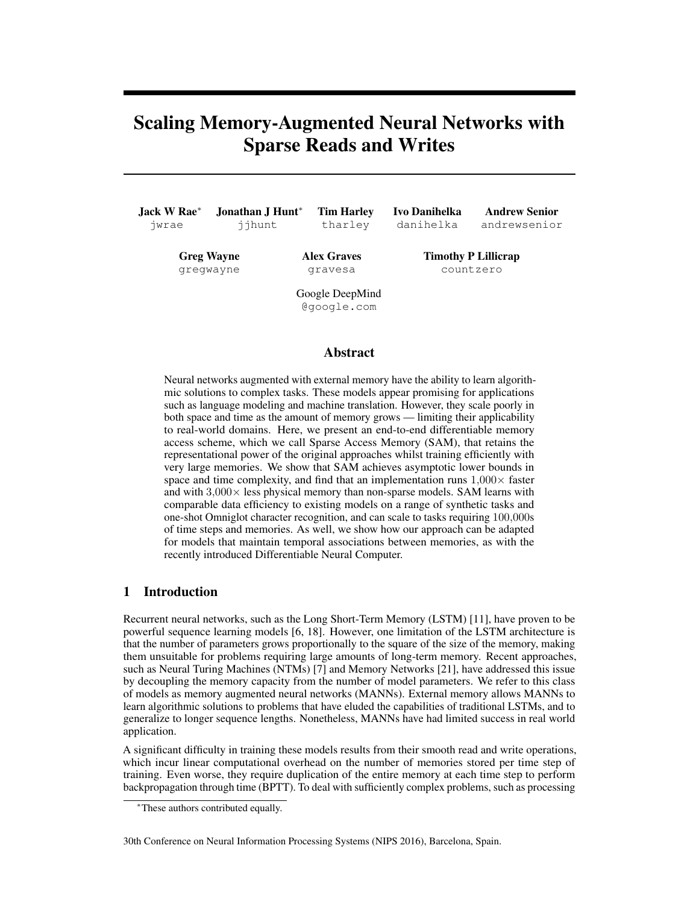# <span id="page-0-7"></span><span id="page-0-1"></span>Scaling Memory-Augmented Neural Networks with Sparse Reads and Writes

<span id="page-0-2"></span>

| Jack W Rae $*$    | Jonathan J Hunt* | <b>Tim Harley</b>              | <b>Ivo Danihelka</b>       | <b>Andrew Senior</b> |
|-------------------|------------------|--------------------------------|----------------------------|----------------------|
| jwrae             | ijhunt           | tharley                        | danihelka                  | andrewsenior         |
| <b>Greg Wayne</b> |                  | <b>Alex Graves</b>             | <b>Timothy P Lillicrap</b> |                      |
| gregwayne         |                  | gravesa                        | countzero                  |                      |
|                   |                  | Google DeepMind<br>@google.com |                            |                      |

## Abstract

<span id="page-0-4"></span><span id="page-0-3"></span>Neural networks augmented with external memory have the ability to learn algorithmic solutions to complex tasks. These models appear promising for applications such as language modeling and machine translation. However, they scale poorly in both space and time as the amount of memory grows — limiting their applicability to real-world domains. Here, we present an end-to-end differentiable memory access scheme, which we call Sparse Access Memory (SAM), that retains the representational power of the original approaches whilst training efficiently with very large memories. We show that SAM achieves asymptotic lower bounds in space and time complexity, and find that an implementation runs  $1,000 \times$  faster and with  $3,000 \times$  less physical memory than non-sparse models. SAM learns with comparable data efficiency to existing models on a range of synthetic tasks and one-shot Omniglot character recognition, and can scale to tasks requiring 100*,*000s of time steps and memories. As well, we show how our approach can be adapted for models that maintain temporal associations between memories, as with the recently introduced Differentiable Neural Computer.

## <span id="page-0-5"></span>1 Introduction

<span id="page-0-6"></span><span id="page-0-0"></span>Recurrent neural networks, such as the Long Short-Term Memory (LSTM) [\[11\]](#page-8-0), have proven to be powerful sequence learning models [\[6,](#page-8-1) [18\]](#page-8-2). However, one limitation of the LSTM architecture is that the number of parameters grows proportionally to the square of the size of the memory, making them unsuitable for problems requiring large amounts of long-term memory. Recent approaches, such as Neural Turing Machines (NTMs) [\[7\]](#page-8-3) and Memory Networks [\[21\]](#page-8-4), have addressed this issue by decoupling the memory capacity from the number of model parameters. We refer to this class of models as memory augmented neural networks (MANNs). External memory allows MANNs to learn algorithmic solutions to problems that have eluded the capabilities of traditional LSTMs, and to generalize to longer sequence lengths. Nonetheless, MANNs have had limited success in real world application.

A significant difficulty in training these models results from their smooth read and write operations, which incur linear computational overhead on the number of memories stored per time step of training. Even worse, they require duplication of the entire memory at each time step to perform backpropagation through time (BPTT). To deal with sufficiently complex problems, such as processing

<sup>⇤</sup>These authors contributed equally.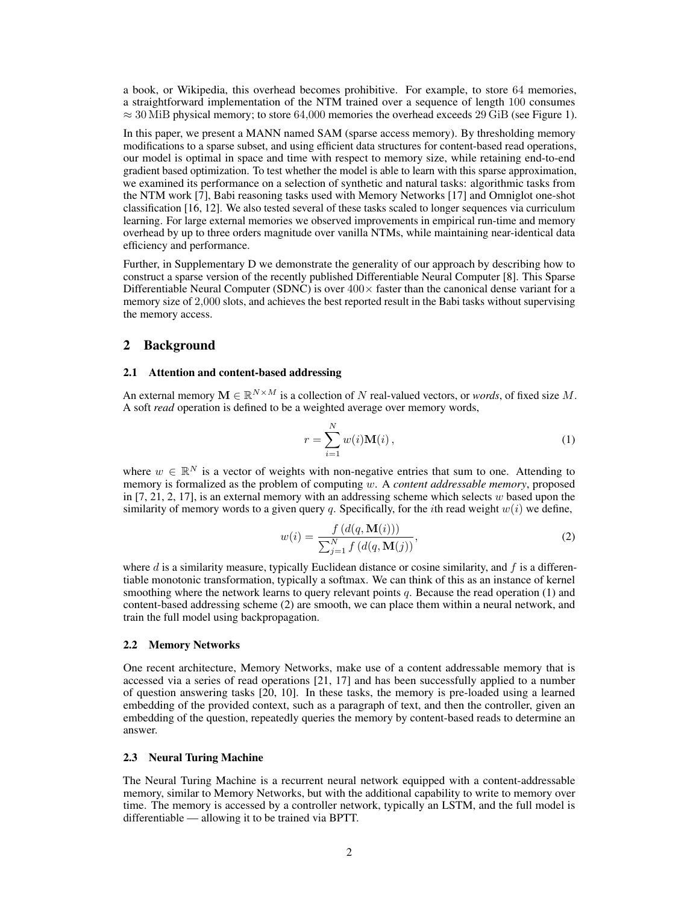a book, or Wikipedia, this overhead becomes prohibitive. For example, to store 64 memories, a straightforward implementation of the NTM trained over a sequence of length 100 consumes  $\approx$  30 MiB physical memory; to store 64,000 memories the overhead exceeds 29 GiB (see Figure [1\)](#page-4-0).

In this paper, we present a MANN named SAM (sparse access memory). By thresholding memory modifications to a sparse subset, and using efficient data structures for content-based read operations, our model is optimal in space and time with respect to memory size, while retaining end-to-end gradient based optimization. To test whether the model is able to learn with this sparse approximation, we examined its performance on a selection of synthetic and natural tasks: algorithmic tasks from the NTM work [\[7\]](#page-8-3), Babi reasoning tasks used with Memory Networks [\[17\]](#page-8-5) and Omniglot one-shot classification [\[16,](#page-8-6) [12\]](#page-8-7). We also tested several of these tasks scaled to longer sequences via curriculum learning. For large external memories we observed improvements in empirical run-time and memory overhead by up to three orders magnitude over vanilla NTMs, while maintaining near-identical data efficiency and performance.

Further, in Supplementary [D](#page-0-0) we demonstrate the generality of our approach by describing how to construct a sparse version of the recently published Differentiable Neural Computer [\[8\]](#page-8-8). This Sparse Differentiable Neural Computer (SDNC) is over  $400\times$  faster than the canonical dense variant for a memory size of 2*,*000 slots, and achieves the best reported result in the Babi tasks without supervising the memory access.

## 2 Background

#### 2.1 Attention and content-based addressing

An external memory  $M \in \mathbb{R}^{N \times M}$  is a collection of *N* real-valued vectors, or *words*, of fixed size *M*. A soft *read* operation is defined to be a weighted average over memory words,

<span id="page-1-1"></span><span id="page-1-0"></span>
$$
r = \sum_{i=1}^{N} w(i) \mathbf{M}(i) , \qquad (1)
$$

where  $w \in \mathbb{R}^N$  is a vector of weights with non-negative entries that sum to one. Attending to memory is formalized as the problem of computing *w*. A *content addressable memory*, proposed in [\[7,](#page-8-3) [21,](#page-8-4) [2,](#page-8-9) [17\]](#page-8-5), is an external memory with an addressing scheme which selects *w* based upon the similarity of memory words to a given query *q*. Specifically, for the *i*th read weight  $w(i)$  we define,

$$
w(i) = \frac{f(d(q, \mathbf{M}(i)))}{\sum_{j=1}^{N} f(d(q, \mathbf{M}(j)))},
$$
\n(2)

where *d* is a similarity measure, typically Euclidean distance or cosine similarity, and *f* is a differentiable monotonic transformation, typically a softmax. We can think of this as an instance of kernel smoothing where the network learns to query relevant points *q*. Because the read operation [\(1\)](#page-1-0) and content-based addressing scheme [\(2\)](#page-1-1) are smooth, we can place them within a neural network, and train the full model using backpropagation.

## 2.2 Memory Networks

One recent architecture, Memory Networks, make use of a content addressable memory that is accessed via a series of read operations [\[21,](#page-8-4) [17\]](#page-8-5) and has been successfully applied to a number of question answering tasks [\[20,](#page-8-10) [10\]](#page-8-11). In these tasks, the memory is pre-loaded using a learned embedding of the provided context, such as a paragraph of text, and then the controller, given an embedding of the question, repeatedly queries the memory by content-based reads to determine an answer.

#### 2.3 Neural Turing Machine

The Neural Turing Machine is a recurrent neural network equipped with a content-addressable memory, similar to Memory Networks, but with the additional capability to write to memory over time. The memory is accessed by a controller network, typically an LSTM, and the full model is differentiable — allowing it to be trained via BPTT.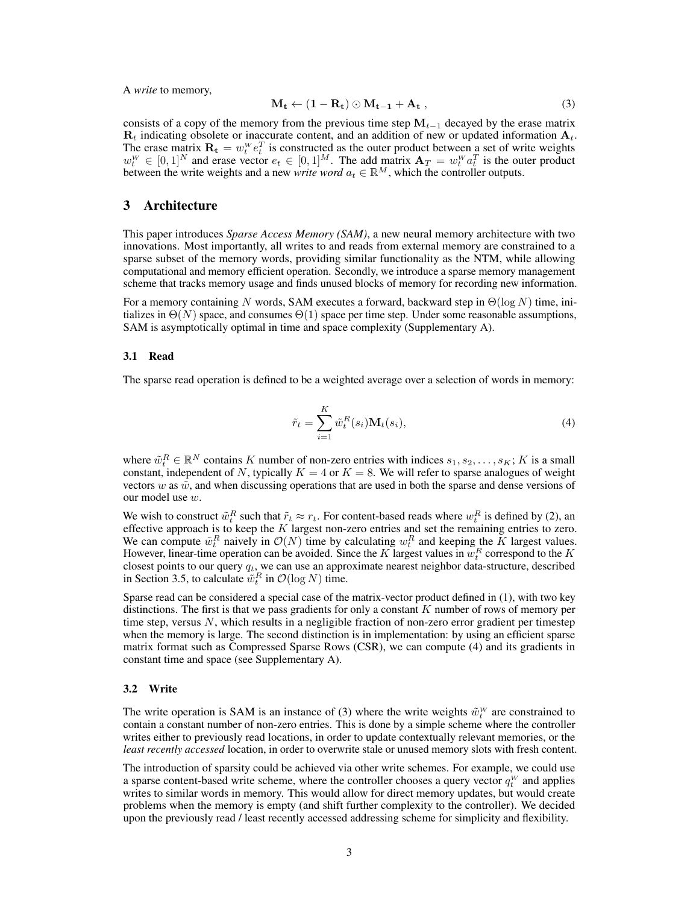A *write* to memory,

<span id="page-2-1"></span>
$$
\mathbf{M_t} \leftarrow (\mathbf{1} - \mathbf{R_t}) \odot \mathbf{M_{t-1}} + \mathbf{A_t} \,, \tag{3}
$$

consists of a copy of the memory from the previous time step  $M_{t-1}$  decayed by the erase matrix R*<sup>t</sup>* indicating obsolete or inaccurate content, and an addition of new or updated information A*t*. The erase matrix  $\mathbf{R}_t = w_t^w e_t^T$  is constructed as the outer product between a set of write weights  $w_t^W \in [0,1]^N$  and erase vector  $e_t \in [0,1]^M$ . The add matrix  $\mathbf{A}_T = w_t^W a_t^T$  is the outer product between the write weights and a new *write word*  $a_t \in \mathbb{R}^M$ , which the controller outputs.

# 3 Architecture

This paper introduces *Sparse Access Memory (SAM)*, a new neural memory architecture with two innovations. Most importantly, all writes to and reads from external memory are constrained to a sparse subset of the memory words, providing similar functionality as the NTM, while allowing computational and memory efficient operation. Secondly, we introduce a sparse memory management scheme that tracks memory usage and finds unused blocks of memory for recording new information.

For a memory containing N words, SAM executes a forward, backward step in  $\Theta(\log N)$  time, initializes in  $\Theta(N)$  space, and consumes  $\Theta(1)$  space per time step. Under some reasonable assumptions, SAM is asymptotically optimal in time and space complexity (Supplementary [A\)](#page-0-1).

#### 3.1 Read

<span id="page-2-0"></span>The sparse read operation is defined to be a weighted average over a selection of words in memory:

$$
\tilde{r}_t = \sum_{i=1}^K \tilde{w}_t^R(s_i) \mathbf{M}_t(s_i), \tag{4}
$$

where  $\tilde{w}_t^R \in \mathbb{R}^N$  contains *K* number of non-zero entries with indices  $s_1, s_2, \ldots, s_K$ ; *K* is a small constant, independent of *N*, typically  $K = 4$  or  $K = 8$ . We will refer to sparse analogues of weight vectors  $w$  as  $\tilde{w}$ , and when discussing operations that are used in both the sparse and dense versions of our model use *w*.

We wish to construct  $\tilde{w}_t^R$  such that  $\tilde{r}_t \approx r_t$ . For content-based reads where  $w_t^R$  is defined by [\(2\)](#page-1-1), an effective approach is to keep the *K* largest non-zero entries and set the remaining entries to zero. We can compute  $\tilde{w}_t^R$  naively in  $\mathcal{O}(N)$  time by calculating  $w_t^R$  and keeping the *K* largest values. However, linear-time operation can be avoided. Since the  $K$  largest values in  $w_t^R$  correspond to the  $K$ closest points to our query *qt*, we can use an approximate nearest neighbor data-structure, described in Section [3.5,](#page-3-0) to calculate  $\tilde{w}_t^R$  in  $\mathcal{O}(\log N)$  time.

Sparse read can be considered a special case of the matrix-vector product defined in [\(1\)](#page-1-0), with two key distinctions. The first is that we pass gradients for only a constant *K* number of rows of memory per time step, versus *N*, which results in a negligible fraction of non-zero error gradient per timestep when the memory is large. The second distinction is in implementation: by using an efficient sparse matrix format such as Compressed Sparse Rows (CSR), we can compute [\(4\)](#page-2-0) and its gradients in constant time and space (see Supplementary [A\)](#page-0-1).

#### 3.2 Write

The write operation is SAM is an instance of [\(3\)](#page-2-1) where the write weights  $\tilde{w}^W_t$  are constrained to contain a constant number of non-zero entries. This is done by a simple scheme where the controller writes either to previously read locations, in order to update contextually relevant memories, or the *least recently accessed* location, in order to overwrite stale or unused memory slots with fresh content.

The introduction of sparsity could be achieved via other write schemes. For example, we could use a sparse content-based write scheme, where the controller chooses a query vector  $q_t^W$  and applies writes to similar words in memory. This would allow for direct memory updates, but would create problems when the memory is empty (and shift further complexity to the controller). We decided upon the previously read / least recently accessed addressing scheme for simplicity and flexibility.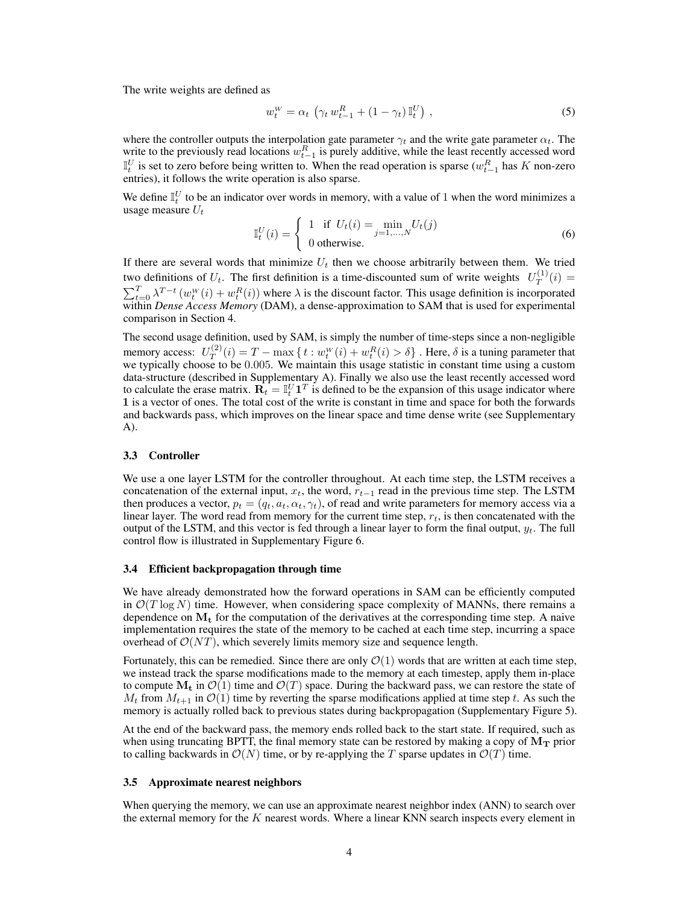The write weights are defined as

$$
w_t^W = \alpha_t \left( \gamma_t w_{t-1}^R + (1 - \gamma_t) \mathbb{I}_t^U \right), \tag{5}
$$

where the controller outputs the interpolation gate parameter  $\gamma_t$  and the write gate parameter  $\alpha_t$ . The write to the previously read locations  $w_{t-1}^R$  is purely additive, while the least recently accessed word  $\mathbb{I}_{t}^{U}$  is set to zero before being written to. When the read operation is sparse  $(w_{t-1}^{R}$  has *K* non-zero entries), it follows the write operation is also sparse.

We define  $\mathbb{I}_{t}^{U}$  to be an indicator over words in memory, with a value of 1 when the word minimizes a usage measure *U<sup>t</sup>*

$$
\mathbb{I}_t^U(i) = \begin{cases} 1 & \text{if } U_t(i) = \min_{j=1,\dots,N} U_t(j) \\ 0 & \text{otherwise.} \end{cases}
$$
 (6)

If there are several words that minimize  $U_t$  then we choose arbitrarily between them. We tried two definitions of  $U_t$ . The first definition is a time-discounted sum of write weights  $U_T^{(1)}(i)$  =  $\sum_{t=0}^{T} \lambda^{T-t} (w_t^W(i) + w_t^R(i))$  where  $\lambda$  is the discount factor. This usage definition is incorporated within *Dense Access Memory* (DAM), a dense-approximation to SAM that is used for experimental comparison in Section [4.](#page-4-1)

The second usage definition, used by SAM, is simply the number of time-steps since a non-negligible memory access:  $U_T^{(2)}(i) = T - \max \{ t : w_t^W(i) + w_t^R(i) > \delta \}$ . Here,  $\delta$  is a tuning parameter that we typically choose to be 0.005. We maintain this usage statistic in constant time using a custom data-structure (described in Supplementary [A\)](#page-0-1). Finally we also use the least recently accessed word to calculate the erase matrix.  $\mathbf{R}_t = \mathbb{I}_t^U \mathbf{1}^T$  is defined to be the expansion of this usage indicator where 1 is a vector of ones. The total cost of the write is constant in time and space for both the forwards and backwards pass, which improves on the linear space and time dense write (see Supplementary [A\)](#page-0-1).

#### 3.3 Controller

We use a one layer LSTM for the controller throughout. At each time step, the LSTM receives a concatenation of the external input,  $x_t$ , the word,  $r_{t-1}$  read in the previous time step. The LSTM then produces a vector,  $p_t = (q_t, a_t, \alpha_t, \gamma_t)$ , of read and write parameters for memory access via a linear layer. The word read from memory for the current time step, *rt*, is then concatenated with the output of the LSTM, and this vector is fed through a linear layer to form the final output,  $y_t$ . The full control flow is illustrated in Supplementary Figure [6.](#page-0-2)

#### 3.4 Efficient backpropagation through time

We have already demonstrated how the forward operations in SAM can be efficiently computed in  $\mathcal{O}(T \log N)$  time. However, when considering space complexity of MANNs, there remains a dependence on  $M_t$  for the computation of the derivatives at the corresponding time step. A naive implementation requires the state of the memory to be cached at each time step, incurring a space overhead of  $\mathcal{O}(NT)$ , which severely limits memory size and sequence length.

Fortunately, this can be remedied. Since there are only  $\mathcal{O}(1)$  words that are written at each time step, we instead track the sparse modifications made to the memory at each timestep, apply them in-place to compute  $M_t$  in  $\mathcal{O}(1)$  time and  $\mathcal{O}(T)$  space. During the backward pass, we can restore the state of  $M_t$  from  $M_{t+1}$  in  $\mathcal{O}(1)$  time by reverting the sparse modifications applied at time step *t*. As such the memory is actually rolled back to previous states during backpropagation (Supplementary Figure [5\)](#page-0-3).

At the end of the backward pass, the memory ends rolled back to the start state. If required, such as when using truncating BPTT, the final memory state can be restored by making a copy of  $M_T$  prior to calling backwards in  $\mathcal{O}(N)$  time, or by re-applying the *T* sparse updates in  $\mathcal{O}(T)$  time.

## <span id="page-3-0"></span>3.5 Approximate nearest neighbors

When querying the memory, we can use an approximate nearest neighbor index (ANN) to search over the external memory for the *K* nearest words. Where a linear KNN search inspects every element in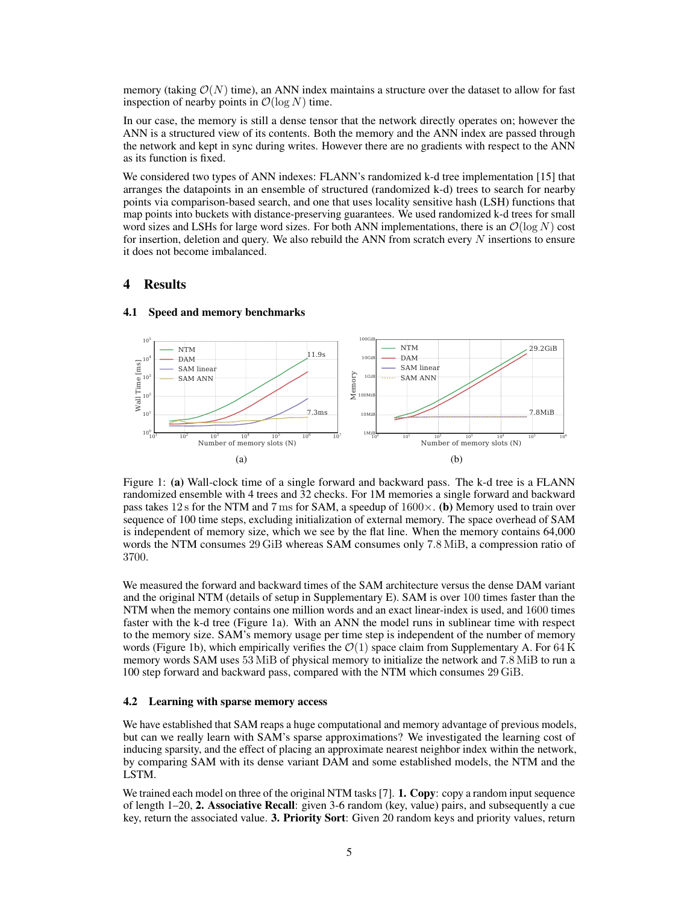memory (taking  $\mathcal{O}(N)$  time), an ANN index maintains a structure over the dataset to allow for fast inspection of nearby points in  $\mathcal{O}(\log N)$  time.

In our case, the memory is still a dense tensor that the network directly operates on; however the ANN is a structured view of its contents. Both the memory and the ANN index are passed through the network and kept in sync during writes. However there are no gradients with respect to the ANN as its function is fixed.

We considered two types of ANN indexes: FLANN's randomized k-d tree implementation [\[15\]](#page-8-12) that arranges the datapoints in an ensemble of structured (randomized k-d) trees to search for nearby points via comparison-based search, and one that uses locality sensitive hash (LSH) functions that map points into buckets with distance-preserving guarantees. We used randomized k-d trees for small word sizes and LSHs for large word sizes. For both ANN implementations, there is an  $\mathcal{O}(\log N)$  cost for insertion, deletion and query. We also rebuild the ANN from scratch every *N* insertions to ensure it does not become imbalanced.

# <span id="page-4-1"></span>4 Results

<span id="page-4-0"></span>

#### 4.1 Speed and memory benchmarks

Figure 1: [\(a\)](#page-4-0) Wall-clock time of a single forward and backward pass. The k-d tree is a FLANN randomized ensemble with 4 trees and 32 checks. For 1M memories a single forward and backward pass takes 12 s for the NTM and 7 ms for SAM, a speedup of  $1600 \times$ . [\(b\)](#page-4-0) Memory used to train over sequence of 100 time steps, excluding initialization of external memory. The space overhead of SAM is independent of memory size, which we see by the flat line. When the memory contains 64,000 words the NTM consumes 29 GiB whereas SAM consumes only 7*.*8 MiB, a compression ratio of 3700.

We measured the forward and backward times of the SAM architecture versus the dense DAM variant and the original NTM (details of setup in Supplementary [E\)](#page-0-4). SAM is over 100 times faster than the NTM when the memory contains one million words and an exact linear-index is used, and 1600 times faster with the k-d tree (Figure [1a\)](#page-4-0). With an ANN the model runs in sublinear time with respect to the memory size. SAM's memory usage per time step is independent of the number of memory words (Figure [1b\)](#page-4-0), which empirically verifies the *O*(1) space claim from Supplementary [A.](#page-0-1) For 64 K memory words SAM uses 53 MiB of physical memory to initialize the network and 7*.*8 MiB to run a 100 step forward and backward pass, compared with the NTM which consumes 29 GiB.

## <span id="page-4-2"></span>4.2 Learning with sparse memory access

We have established that SAM reaps a huge computational and memory advantage of previous models, but can we really learn with SAM's sparse approximations? We investigated the learning cost of inducing sparsity, and the effect of placing an approximate nearest neighbor index within the network, by comparing SAM with its dense variant DAM and some established models, the NTM and the LSTM.

We trained each model on three of the original NTM tasks [\[7\]](#page-8-3). **1. Copy**: copy a random input sequence of length 1–20, 2. Associative Recall: given 3-6 random (key, value) pairs, and subsequently a cue key, return the associated value. 3. Priority Sort: Given 20 random keys and priority values, return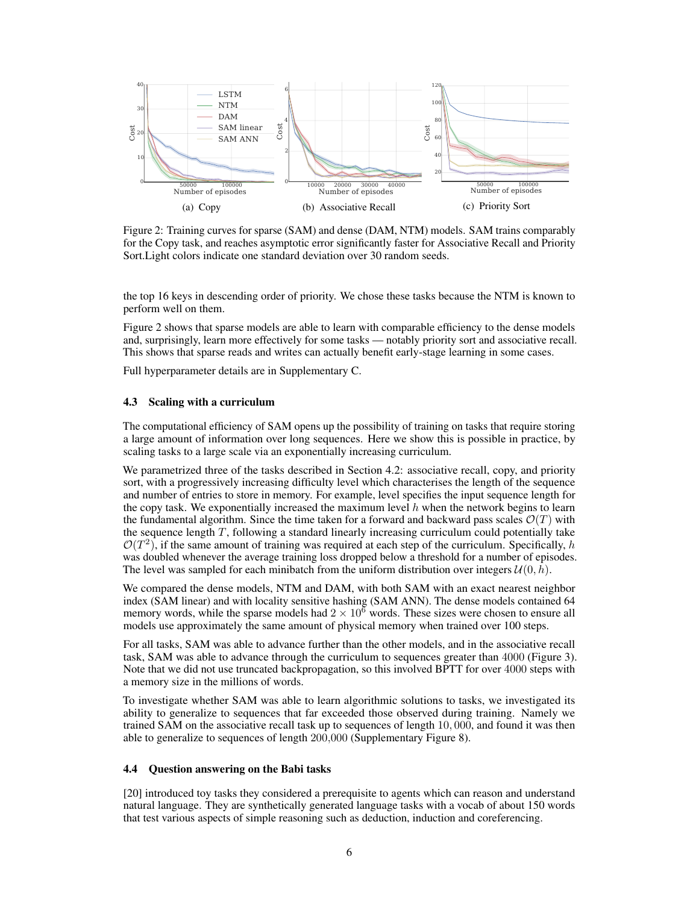<span id="page-5-0"></span>

Figure 2: Training curves for sparse (SAM) and dense (DAM, NTM) models. SAM trains comparably for the Copy task, and reaches asymptotic error significantly faster for Associative Recall and Priority Sort.Light colors indicate one standard deviation over 30 random seeds.

the top 16 keys in descending order of priority. We chose these tasks because the NTM is known to perform well on them.

Figure [2](#page-5-0) shows that sparse models are able to learn with comparable efficiency to the dense models and, surprisingly, learn more effectively for some tasks — notably priority sort and associative recall. This shows that sparse reads and writes can actually benefit early-stage learning in some cases.

Full hyperparameter details are in Supplementary [C.](#page-0-5)

#### 4.3 Scaling with a curriculum

The computational efficiency of SAM opens up the possibility of training on tasks that require storing a large amount of information over long sequences. Here we show this is possible in practice, by scaling tasks to a large scale via an exponentially increasing curriculum.

We parametrized three of the tasks described in Section [4.2:](#page-4-2) associative recall, copy, and priority sort, with a progressively increasing difficulty level which characterises the length of the sequence and number of entries to store in memory. For example, level specifies the input sequence length for the copy task. We exponentially increased the maximum level  $h$  when the network begins to learn the fundamental algorithm. Since the time taken for a forward and backward pass scales  $\mathcal{O}(T)$  with the sequence length *T*, following a standard linearly increasing curriculum could potentially take  $\mathcal{O}(T^2)$ , if the same amount of training was required at each step of the curriculum. Specifically, *h* was doubled whenever the average training loss dropped below a threshold for a number of episodes. The level was sampled for each minibatch from the uniform distribution over integers  $U(0, h)$ .

We compared the dense models, NTM and DAM, with both SAM with an exact nearest neighbor index (SAM linear) and with locality sensitive hashing (SAM ANN). The dense models contained 64 memory words, while the sparse models had  $2 \times 10^6$  words. These sizes were chosen to ensure all models use approximately the same amount of physical memory when trained over 100 steps.

For all tasks, SAM was able to advance further than the other models, and in the associative recall task, SAM was able to advance through the curriculum to sequences greater than 4000 (Figure [3\)](#page-6-0). Note that we did not use truncated backpropagation, so this involved BPTT for over 4000 steps with a memory size in the millions of words.

To investigate whether SAM was able to learn algorithmic solutions to tasks, we investigated its ability to generalize to sequences that far exceeded those observed during training. Namely we trained SAM on the associative recall task up to sequences of length 10*,* 000, and found it was then able to generalize to sequences of length 200*,*000 (Supplementary Figure [8\)](#page-0-6).

## 4.4 Question answering on the Babi tasks

[\[20\]](#page-8-10) introduced toy tasks they considered a prerequisite to agents which can reason and understand natural language. They are synthetically generated language tasks with a vocab of about 150 words that test various aspects of simple reasoning such as deduction, induction and coreferencing.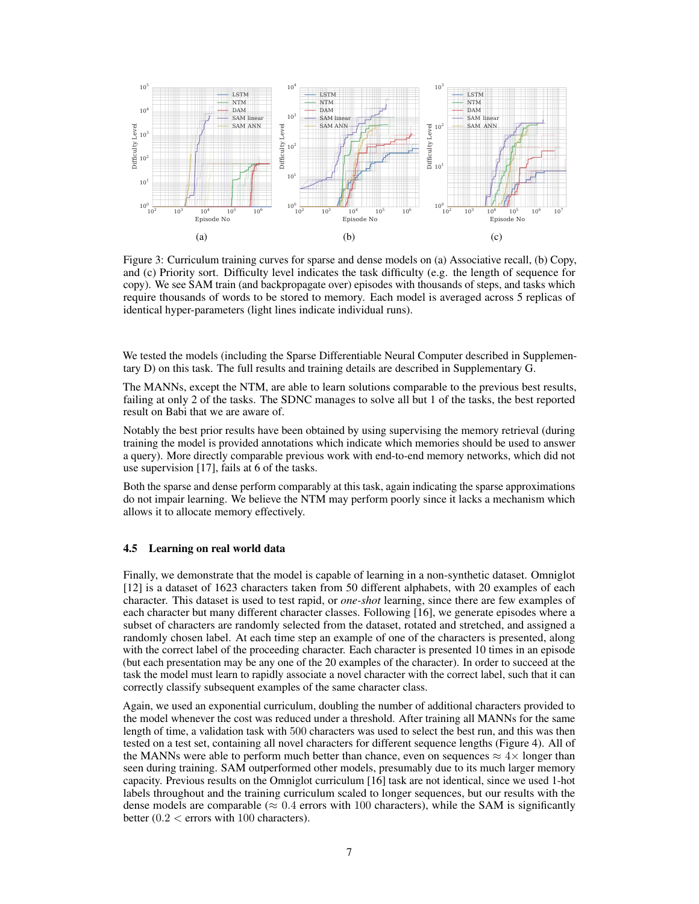<span id="page-6-0"></span>

Figure 3: Curriculum training curves for sparse and dense models on [\(a\)](#page-6-0) Associative recall, [\(b\)](#page-6-0) Copy, and [\(c\)](#page-6-0) Priority sort. Difficulty level indicates the task difficulty (e.g. the length of sequence for copy). We see SAM train (and backpropagate over) episodes with thousands of steps, and tasks which require thousands of words to be stored to memory. Each model is averaged across 5 replicas of identical hyper-parameters (light lines indicate individual runs).

We tested the models (including the Sparse Differentiable Neural Computer described in Supplementary [D\)](#page-0-0) on this task. The full results and training details are described in Supplementary [G.](#page-0-7)

The MANNs, except the NTM, are able to learn solutions comparable to the previous best results, failing at only 2 of the tasks. The SDNC manages to solve all but 1 of the tasks, the best reported result on Babi that we are aware of.

Notably the best prior results have been obtained by using supervising the memory retrieval (during training the model is provided annotations which indicate which memories should be used to answer a query). More directly comparable previous work with end-to-end memory networks, which did not use supervision [\[17\]](#page-8-5), fails at 6 of the tasks.

Both the sparse and dense perform comparably at this task, again indicating the sparse approximations do not impair learning. We believe the NTM may perform poorly since it lacks a mechanism which allows it to allocate memory effectively.

#### 4.5 Learning on real world data

Finally, we demonstrate that the model is capable of learning in a non-synthetic dataset. Omniglot [\[12\]](#page-8-7) is a dataset of 1623 characters taken from 50 different alphabets, with 20 examples of each character. This dataset is used to test rapid, or *one-shot* learning, since there are few examples of each character but many different character classes. Following [\[16\]](#page-8-6), we generate episodes where a subset of characters are randomly selected from the dataset, rotated and stretched, and assigned a randomly chosen label. At each time step an example of one of the characters is presented, along with the correct label of the proceeding character. Each character is presented 10 times in an episode (but each presentation may be any one of the 20 examples of the character). In order to succeed at the task the model must learn to rapidly associate a novel character with the correct label, such that it can correctly classify subsequent examples of the same character class.

Again, we used an exponential curriculum, doubling the number of additional characters provided to the model whenever the cost was reduced under a threshold. After training all MANNs for the same length of time, a validation task with 500 characters was used to select the best run, and this was then tested on a test set, containing all novel characters for different sequence lengths (Figure [4\)](#page-7-0). All of the MANNs were able to perform much better than chance, even on sequences  $\approx 4 \times$  longer than seen during training. SAM outperformed other models, presumably due to its much larger memory capacity. Previous results on the Omniglot curriculum [\[16\]](#page-8-6) task are not identical, since we used 1-hot labels throughout and the training curriculum scaled to longer sequences, but our results with the dense models are comparable ( $\approx 0.4$  errors with 100 characters), while the SAM is significantly better (0*.*2 *<* errors with 100 characters).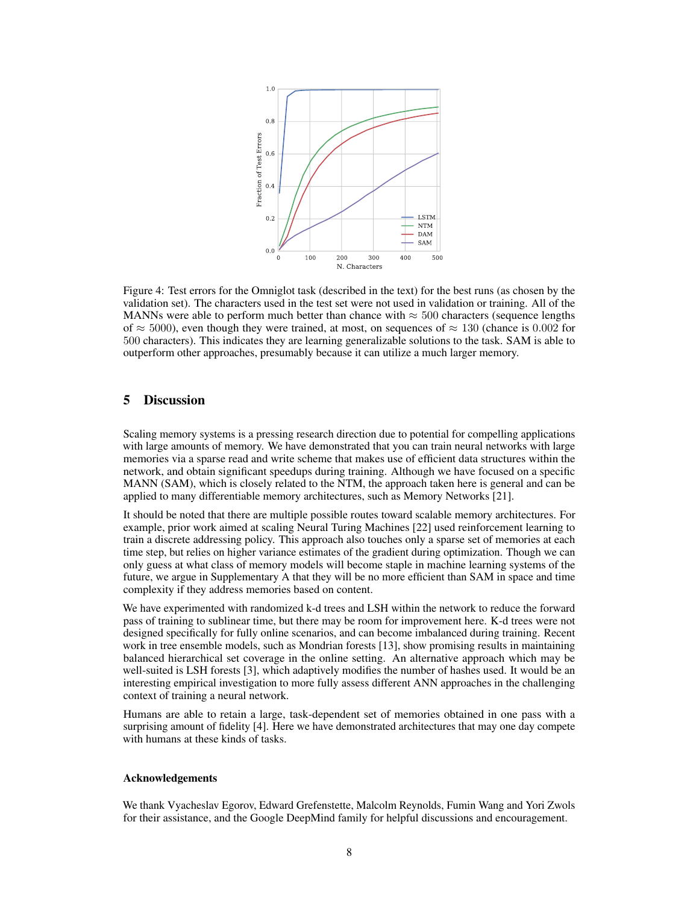<span id="page-7-0"></span>

Figure 4: Test errors for the Omniglot task (described in the text) for the best runs (as chosen by the validation set). The characters used in the test set were not used in validation or training. All of the MANNs were able to perform much better than chance with  $\approx 500$  characters (sequence lengths of  $\approx$  5000), even though they were trained, at most, on sequences of  $\approx$  130 (chance is 0.002 for 500 characters). This indicates they are learning generalizable solutions to the task. SAM is able to outperform other approaches, presumably because it can utilize a much larger memory.

# 5 Discussion

Scaling memory systems is a pressing research direction due to potential for compelling applications with large amounts of memory. We have demonstrated that you can train neural networks with large memories via a sparse read and write scheme that makes use of efficient data structures within the network, and obtain significant speedups during training. Although we have focused on a specific MANN (SAM), which is closely related to the NTM, the approach taken here is general and can be applied to many differentiable memory architectures, such as Memory Networks [\[21\]](#page-8-4).

It should be noted that there are multiple possible routes toward scalable memory architectures. For example, prior work aimed at scaling Neural Turing Machines [\[22\]](#page-8-13) used reinforcement learning to train a discrete addressing policy. This approach also touches only a sparse set of memories at each time step, but relies on higher variance estimates of the gradient during optimization. Though we can only guess at what class of memory models will become staple in machine learning systems of the future, we argue in Supplementary [A](#page-0-1) that they will be no more efficient than SAM in space and time complexity if they address memories based on content.

We have experimented with randomized k-d trees and LSH within the network to reduce the forward pass of training to sublinear time, but there may be room for improvement here. K-d trees were not designed specifically for fully online scenarios, and can become imbalanced during training. Recent work in tree ensemble models, such as Mondrian forests [\[13\]](#page-8-14), show promising results in maintaining balanced hierarchical set coverage in the online setting. An alternative approach which may be well-suited is LSH forests [\[3\]](#page-8-15), which adaptively modifies the number of hashes used. It would be an interesting empirical investigation to more fully assess different ANN approaches in the challenging context of training a neural network.

Humans are able to retain a large, task-dependent set of memories obtained in one pass with a surprising amount of fidelity [\[4\]](#page-8-16). Here we have demonstrated architectures that may one day compete with humans at these kinds of tasks.

#### Acknowledgements

We thank Vyacheslav Egorov, Edward Grefenstette, Malcolm Reynolds, Fumin Wang and Yori Zwols for their assistance, and the Google DeepMind family for helpful discussions and encouragement.